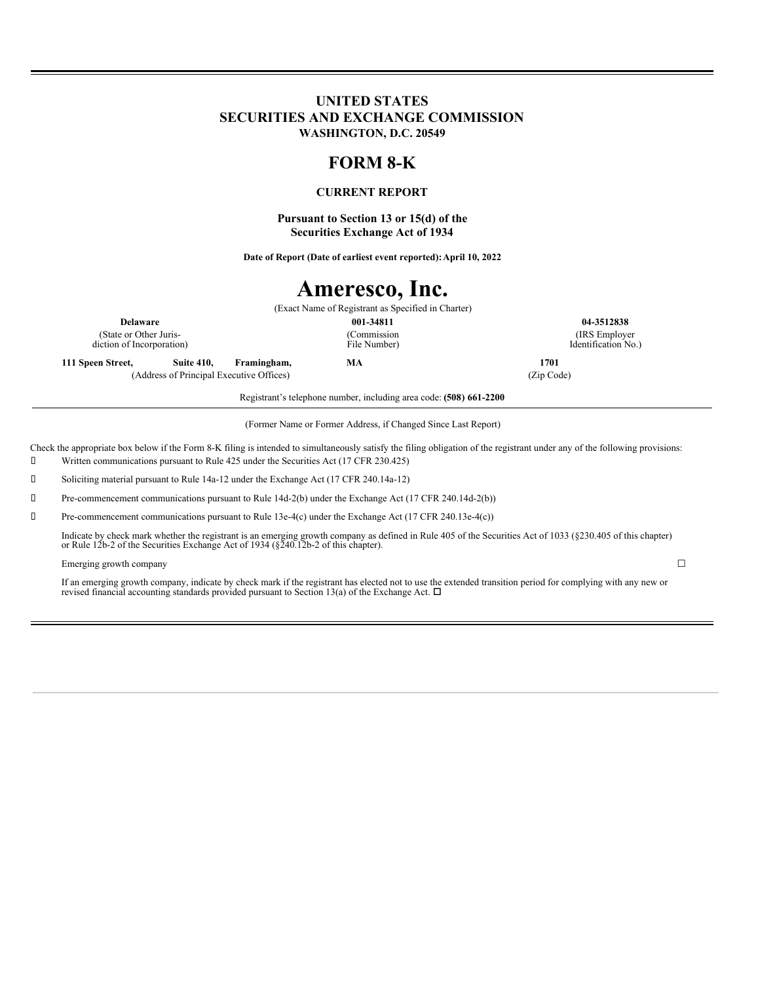### **UNITED STATES SECURITIES AND EXCHANGE COMMISSION WASHINGTON, D.C. 20549**

# **FORM 8-K**

### **CURRENT REPORT**

**Pursuant to Section 13 or 15(d) of the Securities Exchange Act of 1934**

**Date of Report (Date of earliest event reported):April 10, 2022**

# **Ameresco, Inc.**

(Exact Name of Registrant as Specified in Charter) **Delaware 001-34811 04-3512838** (Commission File Number)

(State or Other Jurisdiction of Incorporation)

**111 Speen Street, Suite 410, Framingham, MA 1701** (Address of Principal Executive Offices) (Zip Code)

(IRS Employer Identification No.)

Registrant's telephone number, including area code: **(508) 661-2200**

(Former Name or Former Address, if Changed Since Last Report)

Check the appropriate box below if the Form 8-K filing is intended to simultaneously satisfy the filing obligation of the registrant under any of the following provisions:

Written communications pursuant to Rule 425 under the Securities Act (17 CFR 230.425)

Soliciting material pursuant to Rule 14a-12 under the Exchange Act (17 CFR 240.14a-12)

Pre-commencement communications pursuant to Rule 14d-2(b) under the Exchange Act (17 CFR 240.14d-2(b))

Pre-commencement communications pursuant to Rule 13e-4(c) under the Exchange Act (17 CFR 240.13e-4(c))

Indicate by check mark whether the registrant is an emerging growth company as defined in Rule 405 of the Securities Act of 1033 (§230.405 of this chapter) or Rule 12b-2 of the Securities Exchange Act of 1934 (§240.12b-2 o

#### Emerging growth company  $\Box$

If an emerging growth company, indicate by check mark if the registrant has elected not to use the extended transition period for complying with any new or revised financial accounting standards provided pursuant to Section 13(a) of the Exchange Act.  $\Box$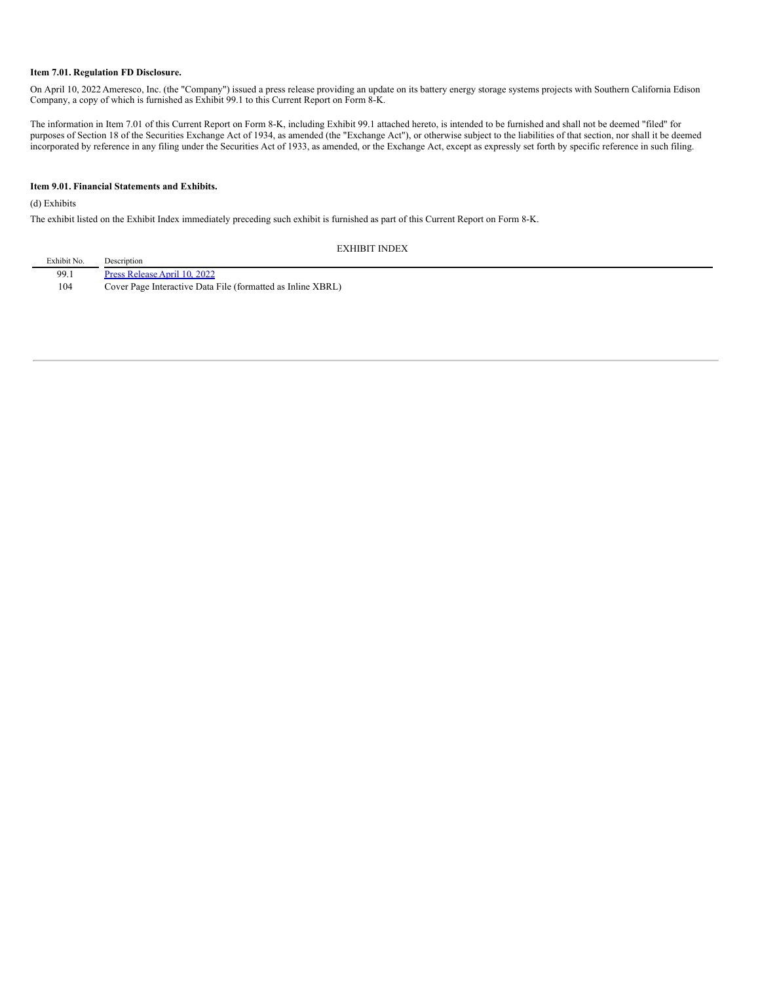#### **Item 7.01. Regulation FD Disclosure.**

On April 10, 2022 Ameresco, Inc. (the "Company") issued a press release providing an update on its battery energy storage systems projects with Southern California Edison Company, a copy of which is furnished as Exhibit 99.1 to this Current Report on Form 8-K.

The information in Item 7.01 of this Current Report on Form 8-K, including Exhibit 99.1 attached hereto, is intended to be furnished and shall not be deemed "filed" for purposes of Section 18 of the Securities Exchange Act of 1934, as amended (the "Exchange Act"), or otherwise subject to the liabilities of that section, nor shall it be deemed incorporated by reference in any filing under the Securities Act of 1933, as amended, or the Exchange Act, except as expressly set forth by specific reference in such filing.

#### **Item 9.01. Financial Statements and Exhibits.**

(d) Exhibits

The exhibit listed on the Exhibit Index immediately preceding such exhibit is furnished as part of this Current Report on Form 8-K.

EXHIBIT INDEX

| Exhibit No. | Description                                                 |
|-------------|-------------------------------------------------------------|
| 99.1        | Press Release April 10, 2022                                |
| 104         | Cover Page Interactive Data File (formatted as Inline XBRL) |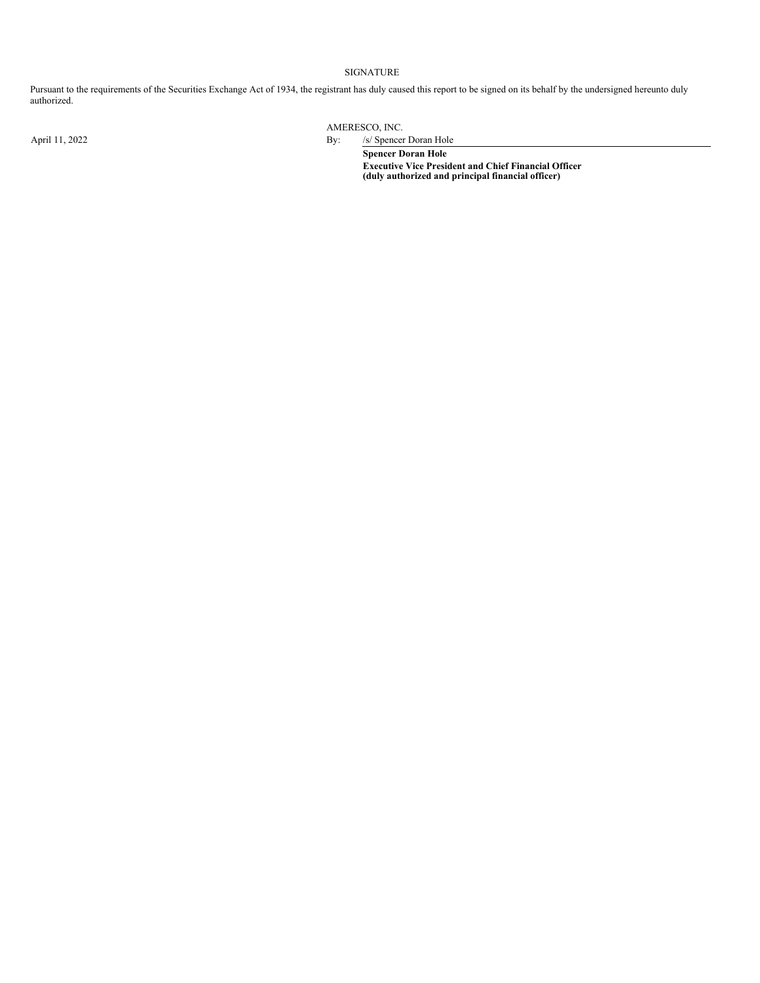#### SIGNATURE

Pursuant to the requirements of the Securities Exchange Act of 1934, the registrant has duly caused this report to be signed on its behalf by the undersigned hereunto duly authorized.

AMERESCO, INC.

April 11, 2022 By: /s/ Spencer Doran Hole **Spencer Doran Hole Executive Vice President and Chief Financial Officer (duly authorized and principal financial officer)**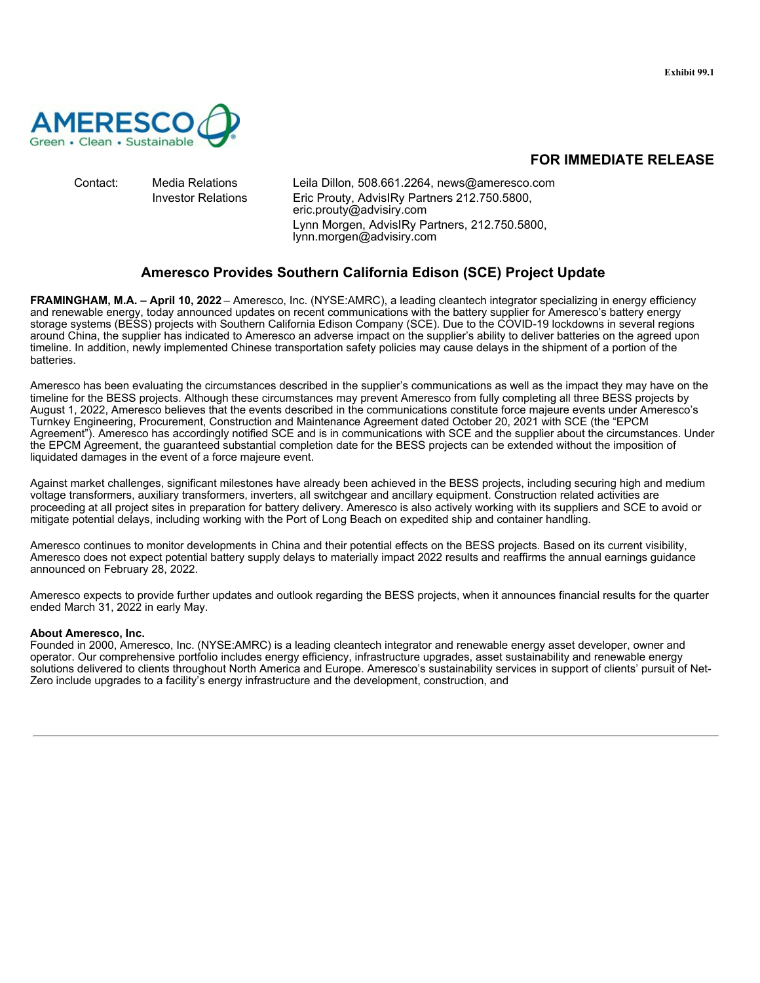

<span id="page-3-0"></span>

Contact: Media Relations Leila Dillon, 508.661.2264, news@ameresco.com Investor Relations Eric Prouty, AdvisIRy Partners 212.750.5800, eric.prouty@advisiry.com Lynn Morgen, AdvisIRy Partners, 212.750.5800, lynn.morgen@advisiry.com

## **Ameresco Provides Southern California Edison (SCE) Project Update**

**FRAMINGHAM, M.A. – April 10, 2022** – Ameresco, Inc. (NYSE:AMRC), a leading cleantech integrator specializing in energy efficiency and renewable energy, today announced updates on recent communications with the battery supplier for Ameresco's battery energy storage systems (BESS) projects with Southern California Edison Company (SCE). Due to the COVID-19 lockdowns in several regions around China, the supplier has indicated to Ameresco an adverse impact on the supplier's ability to deliver batteries on the agreed upon timeline. In addition, newly implemented Chinese transportation safety policies may cause delays in the shipment of a portion of the batteries.

Ameresco has been evaluating the circumstances described in the supplier's communications as well as the impact they may have on the timeline for the BESS projects. Although these circumstances may prevent Ameresco from fully completing all three BESS projects by August 1, 2022, Ameresco believes that the events described in the communications constitute force majeure events under Ameresco's Turnkey Engineering, Procurement, Construction and Maintenance Agreement dated October 20, 2021 with SCE (the "EPCM Agreement"). Ameresco has accordingly notified SCE and is in communications with SCE and the supplier about the circumstances. Under the EPCM Agreement, the guaranteed substantial completion date for the BESS projects can be extended without the imposition of liquidated damages in the event of a force majeure event.

Against market challenges, significant milestones have already been achieved in the BESS projects, including securing high and medium voltage transformers, auxiliary transformers, inverters, all switchgear and ancillary equipment. Construction related activities are proceeding at all project sites in preparation for battery delivery. Ameresco is also actively working with its suppliers and SCE to avoid or mitigate potential delays, including working with the Port of Long Beach on expedited ship and container handling.

Ameresco continues to monitor developments in China and their potential effects on the BESS projects. Based on its current visibility, Ameresco does not expect potential battery supply delays to materially impact 2022 results and reaffirms the annual earnings guidance announced on February 28, 2022.

Ameresco expects to provide further updates and outlook regarding the BESS projects, when it announces financial results for the quarter ended March 31, 2022 in early May.

### **About Ameresco, Inc.**

Founded in 2000, Ameresco, Inc. (NYSE:AMRC) is a leading cleantech integrator and renewable energy asset developer, owner and operator. Our comprehensive portfolio includes energy efficiency, infrastructure upgrades, asset sustainability and renewable energy solutions delivered to clients throughout North America and Europe. Ameresco's sustainability services in support of clients' pursuit of Net-Zero include upgrades to a facility's energy infrastructure and the development, construction, and

# **FOR IMMEDIATE RELEASE**